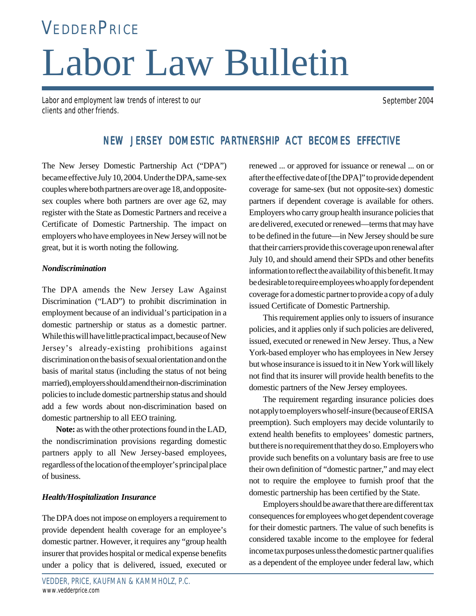# Labor Law Bulletin **VEDDERPRICE**

Labor and employment law trends of interest to our clients and other friends.

September 2004

# NEW JERSEY DOMESTIC PARTNERSHIP ACT BECOMES EFFECTIVE

The New Jersey Domestic Partnership Act ("DPA") became effective July 10, 2004. Under the DPA, same-sex couples where both partners are over age 18, and oppositesex couples where both partners are over age 62, may register with the State as Domestic Partners and receive a Certificate of Domestic Partnership. The impact on employers who have employees in New Jersey will not be great, but it is worth noting the following.

### *Nondiscrimination*

The DPA amends the New Jersey Law Against Discrimination ("LAD") to prohibit discrimination in employment because of an individual's participation in a domestic partnership or status as a domestic partner. While this will have little practical impact, because of New Jersey's already-existing prohibitions against discrimination on the basis of sexual orientation and on the basis of marital status (including the status of not being married), employers should amend their non-discrimination policies to include domestic partnership status and should add a few words about non-discrimination based on domestic partnership to all EEO training.

**Note:** as with the other protections found in the LAD, the nondiscrimination provisions regarding domestic partners apply to all New Jersey-based employees, regardless of the location of the employer's principal place of business.

## *Health/Hospitalization Insurance*

The DPA does not impose on employers a requirement to provide dependent health coverage for an employee's domestic partner. However, it requires any "group health insurer that provides hospital or medical expense benefits under a policy that is delivered, issued, executed or renewed ... or approved for issuance or renewal ... on or after the effective date of [the DPA]" to provide dependent coverage for same-sex (but not opposite-sex) domestic partners if dependent coverage is available for others. Employers who carry group health insurance policies that are delivered, executed or renewed—terms that may have to be defined in the future—in New Jersey should be sure that their carriers provide this coverage upon renewal after July 10, and should amend their SPDs and other benefits information to reflect the availability of this benefit. It may be desirable to require employees who apply for dependent coverage for a domestic partner to provide a copy of a duly issued Certificate of Domestic Partnership.

This requirement applies only to issuers of insurance policies, and it applies only if such policies are delivered, issued, executed or renewed in New Jersey. Thus, a New York-based employer who has employees in New Jersey but whose insurance is issued to it in New York will likely not find that its insurer will provide health benefits to the domestic partners of the New Jersey employees.

The requirement regarding insurance policies does not apply to employers who self-insure (because of ERISA preemption). Such employers may decide voluntarily to extend health benefits to employees' domestic partners, but there is no requirement that they do so. Employers who provide such benefits on a voluntary basis are free to use their own definition of "domestic partner," and may elect not to require the employee to furnish proof that the domestic partnership has been certified by the State.

Employers should be aware that there are different tax consequences for employees who get dependent coverage for their domestic partners. The value of such benefits is considered taxable income to the employee for federal income tax purposes unless the domestic partner qualifies as a dependent of the employee under federal law, which